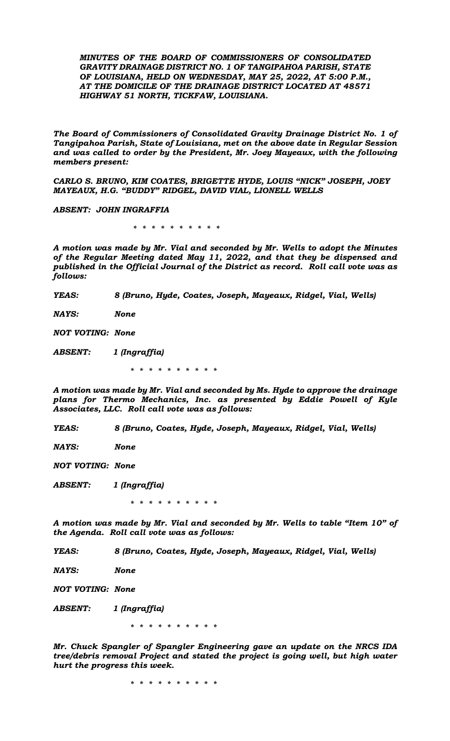*MINUTES OF THE BOARD OF COMMISSIONERS OF CONSOLIDATED GRAVITY DRAINAGE DISTRICT NO. 1 OF TANGIPAHOA PARISH, STATE OF LOUISIANA, HELD ON WEDNESDAY, MAY 25, 2022, AT 5:00 P.M., AT THE DOMICILE OF THE DRAINAGE DISTRICT LOCATED AT 48571 HIGHWAY 51 NORTH, TICKFAW, LOUISIANA.*

*The Board of Commissioners of Consolidated Gravity Drainage District No. 1 of Tangipahoa Parish, State of Louisiana, met on the above date in Regular Session and was called to order by the President, Mr. Joey Mayeaux, with the following members present:* 

*CARLO S. BRUNO, KIM COATES, BRIGETTE HYDE, LOUIS "NICK" JOSEPH, JOEY MAYEAUX, H.G. "BUDDY" RIDGEL, DAVID VIAL, LIONELL WELLS*

*ABSENT: JOHN INGRAFFIA*

 *\* \* \* \* \* \* \* \* \* \**

*A motion was made by Mr. Vial and seconded by Mr. Wells to adopt the Minutes of the Regular Meeting dated May 11, 2022, and that they be dispensed and published in the Official Journal of the District as record. Roll call vote was as follows:* 

*YEAS: 8 (Bruno, Hyde, Coates, Joseph, Mayeaux, Ridgel, Vial, Wells)* 

*NAYS: None*

*NOT VOTING: None*

*ABSENT: 1 (Ingraffia)*

 *\* \* \* \* \* \* \* \* \* \**

*A motion was made by Mr. Vial and seconded by Ms. Hyde to approve the drainage plans for Thermo Mechanics, Inc. as presented by Eddie Powell of Kyle Associates, LLC. Roll call vote was as follows:*

*YEAS: 8 (Bruno, Coates, Hyde, Joseph, Mayeaux, Ridgel, Vial, Wells)* 

*NAYS: None*

*NOT VOTING: None*

*ABSENT: 1 (Ingraffia)*

 *\* \* \* \* \* \* \* \* \* \**

*A motion was made by Mr. Vial and seconded by Mr. Wells to table "Item 10" of the Agenda. Roll call vote was as follows:*

*YEAS: 8 (Bruno, Coates, Hyde, Joseph, Mayeaux, Ridgel, Vial, Wells)* 

*NAYS: None*

*NOT VOTING: None*

*ABSENT: 1 (Ingraffia)*

 *\* \* \* \* \* \* \* \* \* \**

*Mr. Chuck Spangler of Spangler Engineering gave an update on the NRCS IDA tree/debris removal Project and stated the project is going well, but high water hurt the progress this week.*

 *\* \* \* \* \* \* \* \* \* \**